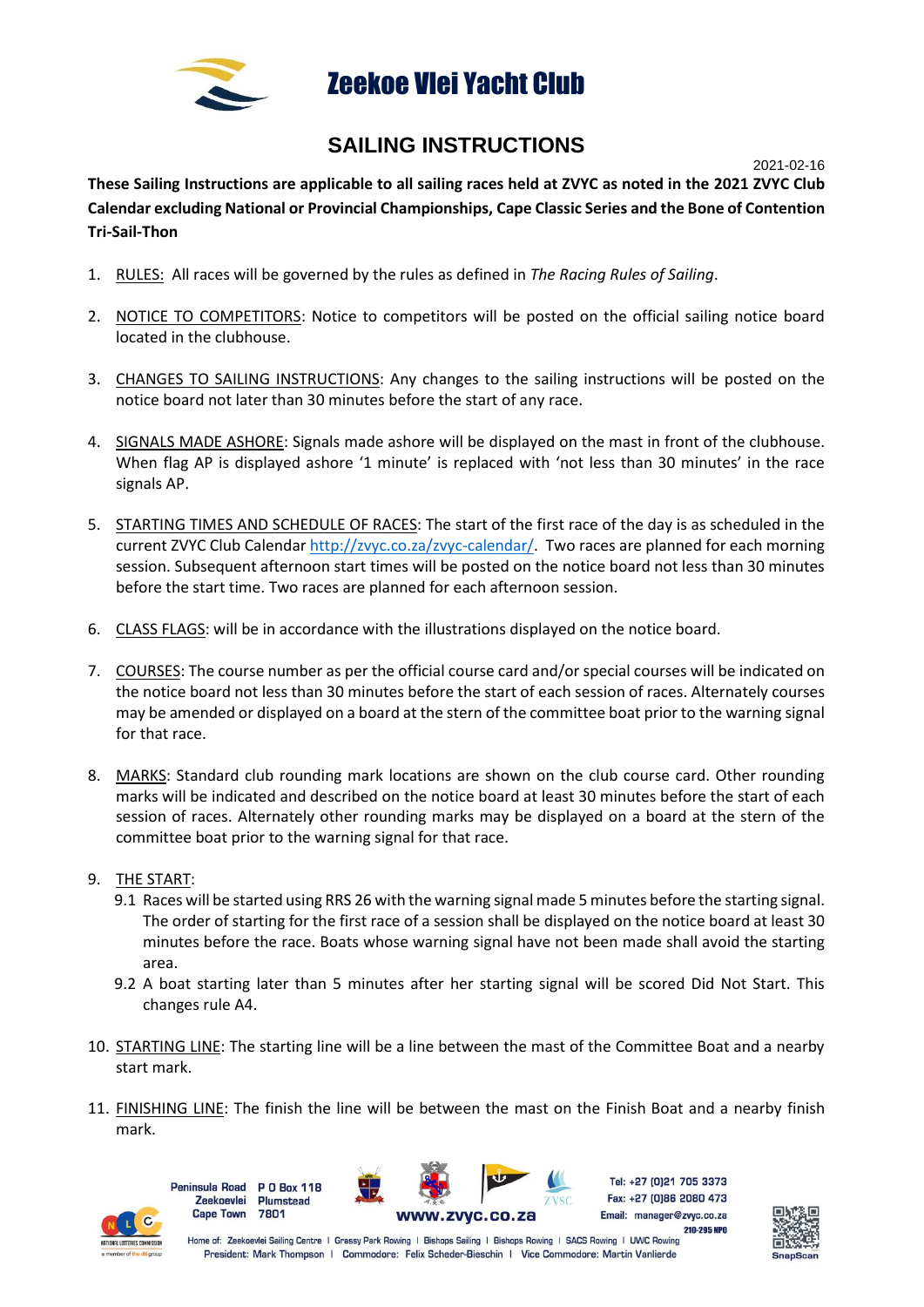

## Zeekoe Vlei Yacht Club

## **SAILING INSTRUCTIONS**

2021-02-16

**These Sailing Instructions are applicable to all sailing races held at ZVYC as noted in the 2021 ZVYC Club Calendar excluding National or Provincial Championships, Cape Classic Series and the Bone of Contention Tri-Sail-Thon**

- 1. RULES: All races will be governed by the rules as defined in *The Racing Rules of Sailing*.
- 2. NOTICE TO COMPETITORS: Notice to competitors will be posted on the official sailing notice board located in the clubhouse.
- 3. CHANGES TO SAILING INSTRUCTIONS: Any changes to the sailing instructions will be posted on the notice board not later than 30 minutes before the start of any race.
- 4. SIGNALS MADE ASHORE: Signals made ashore will be displayed on the mast in front of the clubhouse. When flag AP is displayed ashore '1 minute' is replaced with 'not less than 30 minutes' in the race signals AP.
- 5. STARTING TIMES AND SCHEDULE OF RACES: The start of the first race of the day is as scheduled in the current ZVYC Club Calendar [http://zvyc.co.za/zvyc-calendar/.](http://zvyc.co.za/zvyc-calendar/) Two races are planned for each morning session. Subsequent afternoon start times will be posted on the notice board not less than 30 minutes before the start time. Two races are planned for each afternoon session.
- 6. CLASS FLAGS: will be in accordance with the illustrations displayed on the notice board.
- 7. COURSES: The course number as per the official course card and/or special courses will be indicated on the notice board not less than 30 minutes before the start of each session of races. Alternately courses may be amended or displayed on a board at the stern of the committee boat prior to the warning signal for that race.
- 8. MARKS: Standard club rounding mark locations are shown on the club course card. Other rounding marks will be indicated and described on the notice board at least 30 minutes before the start of each session of races. Alternately other rounding marks may be displayed on a board at the stern of the committee boat prior to the warning signal for that race.
- 9. THE START:
	- 9.1 Races will be started using RRS 26 with the warning signal made 5 minutes before the starting signal. The order of starting for the first race of a session shall be displayed on the notice board at least 30 minutes before the race. Boats whose warning signal have not been made shall avoid the starting area.
	- 9.2 A boat starting later than 5 minutes after her starting signal will be scored Did Not Start. This changes rule A4.
- 10. STARTING LINE: The starting line will be a line between the mast of the Committee Boat and a nearby start mark.
- 11. FINISHING LINE: The finish the line will be between the mast on the Finish Boat and a nearby finish mark.



**Peninsula Road P.O. Box 118 Zeekoevlei Plumstead Cape Town** 7801



Tel: +27 (0)21 705 3373 Fax: +27 (0)86 2080 473 Email: manager@zvyc.co.za

210-295 NPO